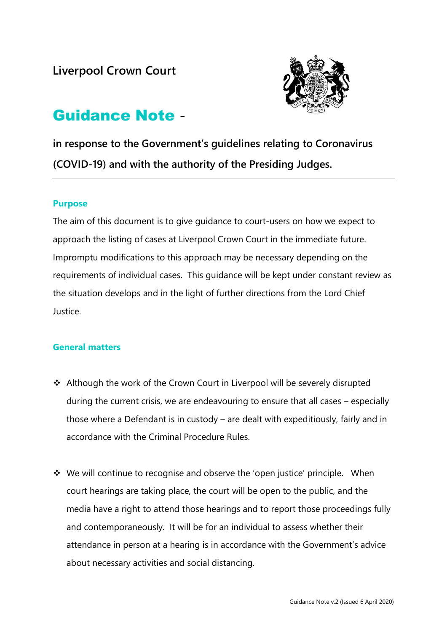

# Guidance Note -

**in response to the Government's guidelines relating to Coronavirus (COVID-19) and with the authority of the Presiding Judges.**

## **Purpose**

The aim of this document is to give guidance to court-users on how we expect to approach the listing of cases at Liverpool Crown Court in the immediate future. Impromptu modifications to this approach may be necessary depending on the requirements of individual cases. This guidance will be kept under constant review as the situation develops and in the light of further directions from the Lord Chief Justice.

# **General matters**

- ❖ Although the work of the Crown Court in Liverpool will be severely disrupted during the current crisis, we are endeavouring to ensure that all cases – especially those where a Defendant is in custody – are dealt with expeditiously, fairly and in accordance with the Criminal Procedure Rules.
- ❖ We will continue to recognise and observe the 'open justice' principle. When court hearings are taking place, the court will be open to the public, and the media have a right to attend those hearings and to report those proceedings fully and contemporaneously. It will be for an individual to assess whether their attendance in person at a hearing is in accordance with the Government's advice about necessary activities and social distancing.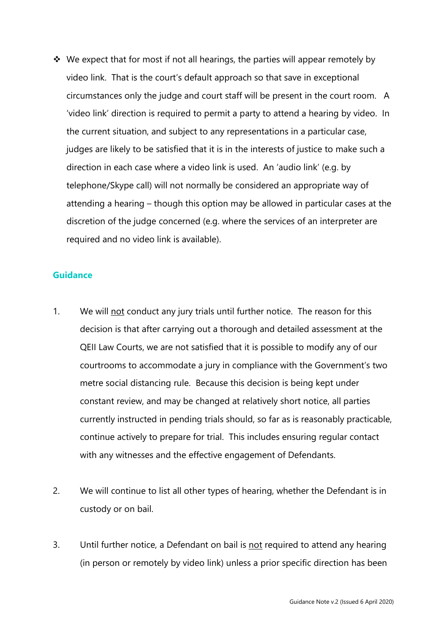❖ We expect that for most if not all hearings, the parties will appear remotely by video link. That is the court's default approach so that save in exceptional circumstances only the judge and court staff will be present in the court room. A 'video link' direction is required to permit a party to attend a hearing by video. In the current situation, and subject to any representations in a particular case, judges are likely to be satisfied that it is in the interests of justice to make such a direction in each case where a video link is used. An 'audio link' (e.g. by telephone/Skype call) will not normally be considered an appropriate way of attending a hearing – though this option may be allowed in particular cases at the discretion of the judge concerned (e.g. where the services of an interpreter are required and no video link is available).

#### **Guidance**

- 1. We will not conduct any jury trials until further notice. The reason for this decision is that after carrying out a thorough and detailed assessment at the QEII Law Courts, we are not satisfied that it is possible to modify any of our courtrooms to accommodate a jury in compliance with the Government's two metre social distancing rule. Because this decision is being kept under constant review, and may be changed at relatively short notice, all parties currently instructed in pending trials should, so far as is reasonably practicable, continue actively to prepare for trial. This includes ensuring regular contact with any witnesses and the effective engagement of Defendants.
- 2. We will continue to list all other types of hearing, whether the Defendant is in custody or on bail.
- 3. Until further notice, a Defendant on bail is not required to attend any hearing (in person or remotely by video link) unless a prior specific direction has been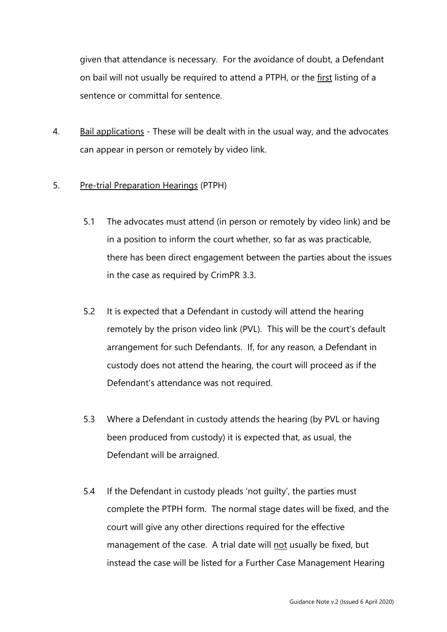given that attendance is necessary. For the avoidance of doubt, a Defendant on bail will not usually be required to attend a PTPH, or the first listing of a sentence or committal for sentence.

4. Bail applications - These will be dealt with in the usual way, and the advocates can appear in person or remotely by video link.

#### 5. Pre-trial Preparation Hearings (PTPH)

- 5.1 The advocates must attend (in person or remotely by video link) and be in a position to inform the court whether, so far as was practicable, there has been direct engagement between the parties about the issues in the case as required by CrimPR 3.3.
- 5.2 It is expected that a Defendant in custody will attend the hearing remotely by the prison video link (PVL). This will be the court's default arrangement for such Defendants. If, for any reason, a Defendant in custody does not attend the hearing, the court will proceed as if the Defendant's attendance was not required.
- 5.3 Where a Defendant in custody attends the hearing (by PVL or having been produced from custody) it is expected that, as usual, the Defendant will be arraigned.
- 5.4 If the Defendant in custody pleads 'not guilty', the parties must complete the PTPH form. The normal stage dates will be fixed, and the court will give any other directions required for the effective management of the case. A trial date will not usually be fixed, but instead the case will be listed for a Further Case Management Hearing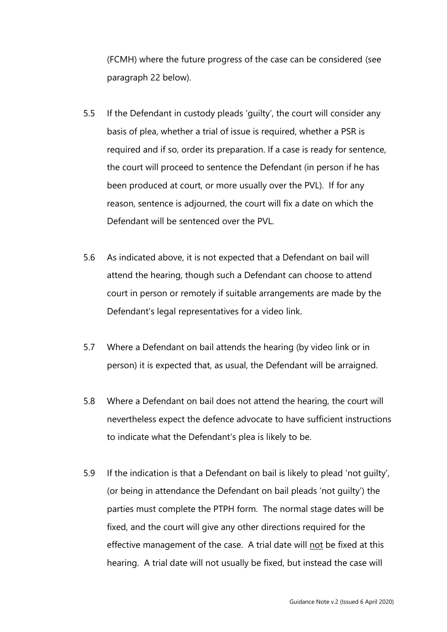(FCMH) where the future progress of the case can be considered (see paragraph 22 below).

- 5.5 If the Defendant in custody pleads 'guilty', the court will consider any basis of plea, whether a trial of issue is required, whether a PSR is required and if so, order its preparation. If a case is ready for sentence, the court will proceed to sentence the Defendant (in person if he has been produced at court, or more usually over the PVL). If for any reason, sentence is adjourned, the court will fix a date on which the Defendant will be sentenced over the PVL.
- 5.6 As indicated above, it is not expected that a Defendant on bail will attend the hearing, though such a Defendant can choose to attend court in person or remotely if suitable arrangements are made by the Defendant's legal representatives for a video link.
- 5.7 Where a Defendant on bail attends the hearing (by video link or in person) it is expected that, as usual, the Defendant will be arraigned.
- 5.8 Where a Defendant on bail does not attend the hearing, the court will nevertheless expect the defence advocate to have sufficient instructions to indicate what the Defendant's plea is likely to be.
- 5.9 If the indication is that a Defendant on bail is likely to plead 'not guilty', (or being in attendance the Defendant on bail pleads 'not guilty') the parties must complete the PTPH form. The normal stage dates will be fixed, and the court will give any other directions required for the effective management of the case. A trial date will not be fixed at this hearing. A trial date will not usually be fixed, but instead the case will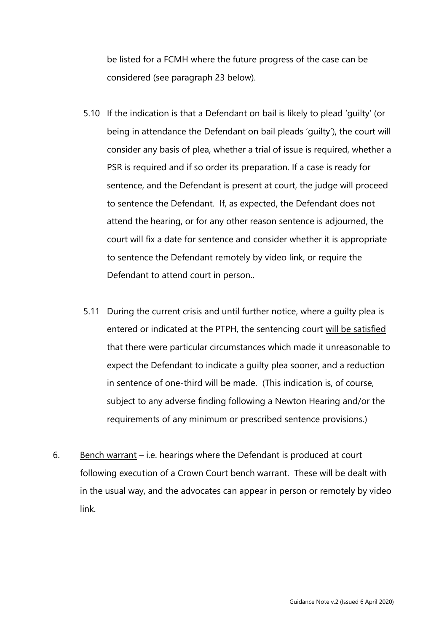be listed for a FCMH where the future progress of the case can be considered (see paragraph 23 below).

- 5.10 If the indication is that a Defendant on bail is likely to plead 'guilty' (or being in attendance the Defendant on bail pleads 'guilty'), the court will consider any basis of plea, whether a trial of issue is required, whether a PSR is required and if so order its preparation. If a case is ready for sentence, and the Defendant is present at court, the judge will proceed to sentence the Defendant. If, as expected, the Defendant does not attend the hearing, or for any other reason sentence is adjourned, the court will fix a date for sentence and consider whether it is appropriate to sentence the Defendant remotely by video link, or require the Defendant to attend court in person..
- 5.11 During the current crisis and until further notice, where a guilty plea is entered or indicated at the PTPH, the sentencing court will be satisfied that there were particular circumstances which made it unreasonable to expect the Defendant to indicate a guilty plea sooner, and a reduction in sentence of one-third will be made. (This indication is, of course, subject to any adverse finding following a Newton Hearing and/or the requirements of any minimum or prescribed sentence provisions.)
- 6. Bench warrant i.e. hearings where the Defendant is produced at court following execution of a Crown Court bench warrant. These will be dealt with in the usual way, and the advocates can appear in person or remotely by video link.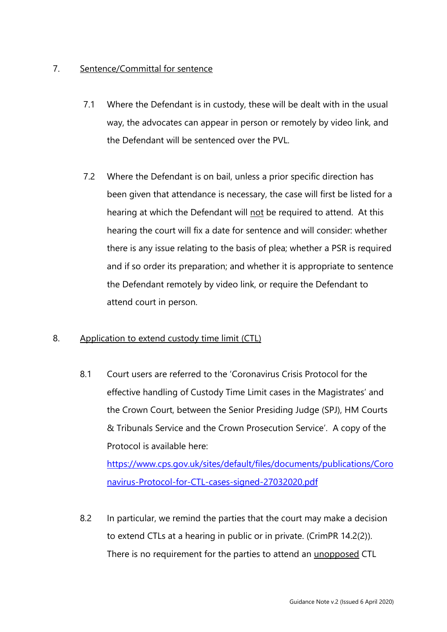# 7. Sentence/Committal for sentence

- 7.1 Where the Defendant is in custody, these will be dealt with in the usual way, the advocates can appear in person or remotely by video link, and the Defendant will be sentenced over the PVL.
- 7.2 Where the Defendant is on bail, unless a prior specific direction has been given that attendance is necessary, the case will first be listed for a hearing at which the Defendant will not be required to attend. At this hearing the court will fix a date for sentence and will consider: whether there is any issue relating to the basis of plea; whether a PSR is required and if so order its preparation; and whether it is appropriate to sentence the Defendant remotely by video link, or require the Defendant to attend court in person.

## 8. Application to extend custody time limit (CTL)

8.1 Court users are referred to the 'Coronavirus Crisis Protocol for the effective handling of Custody Time Limit cases in the Magistrates' and the Crown Court, between the Senior Presiding Judge (SPJ), HM Courts & Tribunals Service and the Crown Prosecution Service'. A copy of the Protocol is available here:

[https://www.cps.gov.uk/sites/default/files/documents/publications/Coro](https://www.cps.gov.uk/sites/default/files/documents/publications/Coronavirus-Protocol-for-CTL-cases-signed-27032020.pdf) [navirus-Protocol-for-CTL-cases-signed-27032020.pdf](https://www.cps.gov.uk/sites/default/files/documents/publications/Coronavirus-Protocol-for-CTL-cases-signed-27032020.pdf)

8.2 In particular, we remind the parties that the court may make a decision to extend CTLs at a hearing in public or in private. (CrimPR 14.2(2)). There is no requirement for the parties to attend an unopposed CTL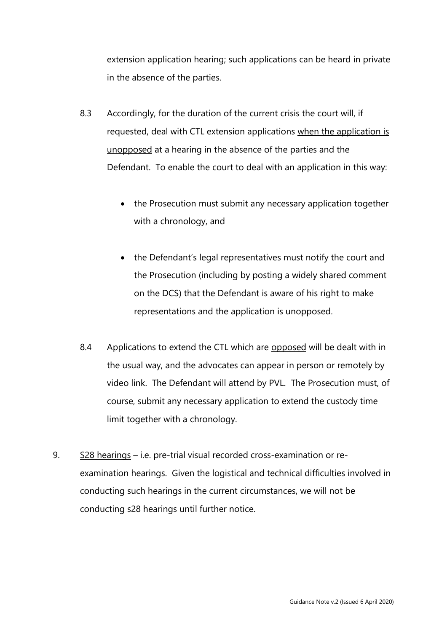extension application hearing; such applications can be heard in private in the absence of the parties.

- 8.3 Accordingly, for the duration of the current crisis the court will, if requested, deal with CTL extension applications when the application is unopposed at a hearing in the absence of the parties and the Defendant. To enable the court to deal with an application in this way:
	- the Prosecution must submit any necessary application together with a chronology, and
	- the Defendant's legal representatives must notify the court and the Prosecution (including by posting a widely shared comment on the DCS) that the Defendant is aware of his right to make representations and the application is unopposed.
- 8.4 Applications to extend the CTL which are opposed will be dealt with in the usual way, and the advocates can appear in person or remotely by video link. The Defendant will attend by PVL. The Prosecution must, of course, submit any necessary application to extend the custody time limit together with a chronology.
- 9. S28 hearings i.e. pre-trial visual recorded cross-examination or reexamination hearings. Given the logistical and technical difficulties involved in conducting such hearings in the current circumstances, we will not be conducting s28 hearings until further notice.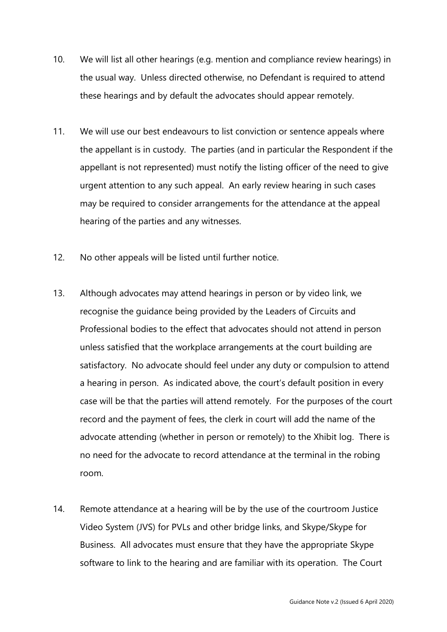- 10. We will list all other hearings (e.g. mention and compliance review hearings) in the usual way. Unless directed otherwise, no Defendant is required to attend these hearings and by default the advocates should appear remotely.
- 11. We will use our best endeavours to list conviction or sentence appeals where the appellant is in custody. The parties (and in particular the Respondent if the appellant is not represented) must notify the listing officer of the need to give urgent attention to any such appeal. An early review hearing in such cases may be required to consider arrangements for the attendance at the appeal hearing of the parties and any witnesses.
- 12. No other appeals will be listed until further notice.
- 13. Although advocates may attend hearings in person or by video link, we recognise the guidance being provided by the Leaders of Circuits and Professional bodies to the effect that advocates should not attend in person unless satisfied that the workplace arrangements at the court building are satisfactory. No advocate should feel under any duty or compulsion to attend a hearing in person. As indicated above, the court's default position in every case will be that the parties will attend remotely. For the purposes of the court record and the payment of fees, the clerk in court will add the name of the advocate attending (whether in person or remotely) to the Xhibit log. There is no need for the advocate to record attendance at the terminal in the robing room.
- 14. Remote attendance at a hearing will be by the use of the courtroom Justice Video System (JVS) for PVLs and other bridge links, and Skype/Skype for Business. All advocates must ensure that they have the appropriate Skype software to link to the hearing and are familiar with its operation. The Court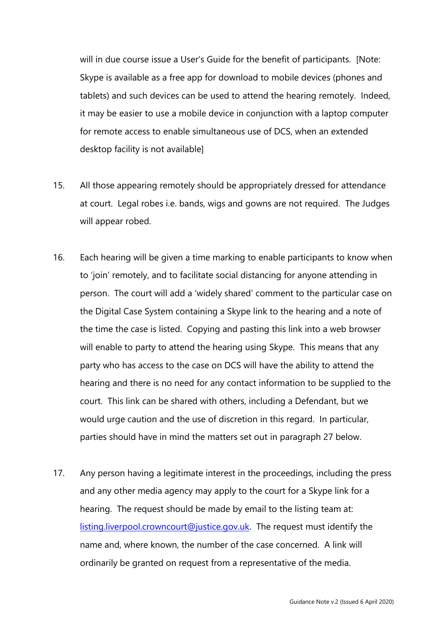will in due course issue a User's Guide for the benefit of participants. [Note: Skype is available as a free app for download to mobile devices (phones and tablets) and such devices can be used to attend the hearing remotely. Indeed, it may be easier to use a mobile device in conjunction with a laptop computer for remote access to enable simultaneous use of DCS, when an extended desktop facility is not available]

- 15. All those appearing remotely should be appropriately dressed for attendance at court. Legal robes i.e. bands, wigs and gowns are not required. The Judges will appear robed.
- 16. Each hearing will be given a time marking to enable participants to know when to 'join' remotely, and to facilitate social distancing for anyone attending in person. The court will add a 'widely shared' comment to the particular case on the Digital Case System containing a Skype link to the hearing and a note of the time the case is listed. Copying and pasting this link into a web browser will enable to party to attend the hearing using Skype. This means that any party who has access to the case on DCS will have the ability to attend the hearing and there is no need for any contact information to be supplied to the court. This link can be shared with others, including a Defendant, but we would urge caution and the use of discretion in this regard. In particular, parties should have in mind the matters set out in paragraph 27 below.
- 17. Any person having a legitimate interest in the proceedings, including the press and any other media agency may apply to the court for a Skype link for a hearing. The request should be made by email to the listing team at: [listing.liverpool.crowncourt@justice.gov.uk.](mailto:listing.liverpool.crowncourt@justice.gov.uk) The request must identify the name and, where known, the number of the case concerned. A link will ordinarily be granted on request from a representative of the media.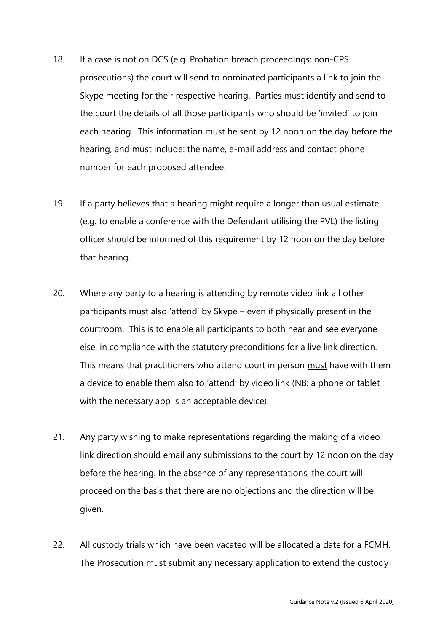- 18. If a case is not on DCS (e.g. Probation breach proceedings; non-CPS prosecutions) the court will send to nominated participants a link to join the Skype meeting for their respective hearing. Parties must identify and send to the court the details of all those participants who should be 'invited' to join each hearing. This information must be sent by 12 noon on the day before the hearing, and must include: the name, e-mail address and contact phone number for each proposed attendee.
- 19. If a party believes that a hearing might require a longer than usual estimate (e.g. to enable a conference with the Defendant utilising the PVL) the listing officer should be informed of this requirement by 12 noon on the day before that hearing.
- 20. Where any party to a hearing is attending by remote video link all other participants must also 'attend' by Skype – even if physically present in the courtroom. This is to enable all participants to both hear and see everyone else, in compliance with the statutory preconditions for a live link direction. This means that practitioners who attend court in person must have with them a device to enable them also to 'attend' by video link (NB: a phone or tablet with the necessary app is an acceptable device).
- 21. Any party wishing to make representations regarding the making of a video link direction should email any submissions to the court by 12 noon on the day before the hearing. In the absence of any representations, the court will proceed on the basis that there are no objections and the direction will be given.
- 22. All custody trials which have been vacated will be allocated a date for a FCMH. The Prosecution must submit any necessary application to extend the custody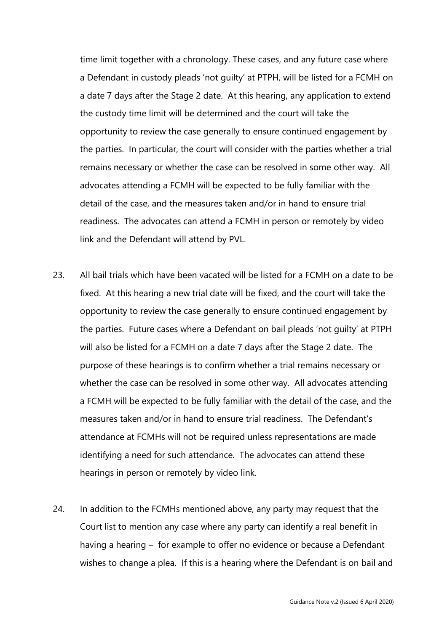time limit together with a chronology. These cases, and any future case where a Defendant in custody pleads 'not guilty' at PTPH, will be listed for a FCMH on a date 7 days after the Stage 2 date. At this hearing, any application to extend the custody time limit will be determined and the court will take the opportunity to review the case generally to ensure continued engagement by the parties. In particular, the court will consider with the parties whether a trial remains necessary or whether the case can be resolved in some other way. All advocates attending a FCMH will be expected to be fully familiar with the detail of the case, and the measures taken and/or in hand to ensure trial readiness. The advocates can attend a FCMH in person or remotely by video link and the Defendant will attend by PVL.

- 23. All bail trials which have been vacated will be listed for a FCMH on a date to be fixed. At this hearing a new trial date will be fixed, and the court will take the opportunity to review the case generally to ensure continued engagement by the parties. Future cases where a Defendant on bail pleads 'not guilty' at PTPH will also be listed for a FCMH on a date 7 days after the Stage 2 date. The purpose of these hearings is to confirm whether a trial remains necessary or whether the case can be resolved in some other way. All advocates attending a FCMH will be expected to be fully familiar with the detail of the case, and the measures taken and/or in hand to ensure trial readiness. The Defendant's attendance at FCMHs will not be required unless representations are made identifying a need for such attendance. The advocates can attend these hearings in person or remotely by video link.
- 24. In addition to the FCMHs mentioned above, any party may request that the Court list to mention any case where any party can identify a real benefit in having a hearing – for example to offer no evidence or because a Defendant wishes to change a plea. If this is a hearing where the Defendant is on bail and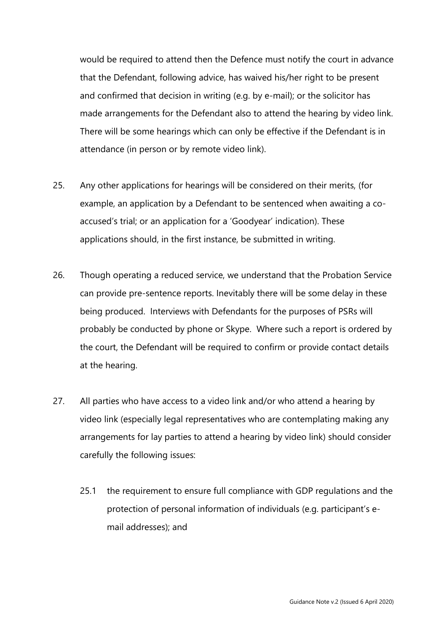would be required to attend then the Defence must notify the court in advance that the Defendant, following advice, has waived his/her right to be present and confirmed that decision in writing (e.g. by e-mail); or the solicitor has made arrangements for the Defendant also to attend the hearing by video link. There will be some hearings which can only be effective if the Defendant is in attendance (in person or by remote video link).

- 25. Any other applications for hearings will be considered on their merits, (for example, an application by a Defendant to be sentenced when awaiting a coaccused's trial; or an application for a 'Goodyear' indication). These applications should, in the first instance, be submitted in writing.
- 26. Though operating a reduced service, we understand that the Probation Service can provide pre-sentence reports. Inevitably there will be some delay in these being produced. Interviews with Defendants for the purposes of PSRs will probably be conducted by phone or Skype. Where such a report is ordered by the court, the Defendant will be required to confirm or provide contact details at the hearing.
- 27. All parties who have access to a video link and/or who attend a hearing by video link (especially legal representatives who are contemplating making any arrangements for lay parties to attend a hearing by video link) should consider carefully the following issues:
	- 25.1 the requirement to ensure full compliance with GDP regulations and the protection of personal information of individuals (e.g. participant's email addresses); and